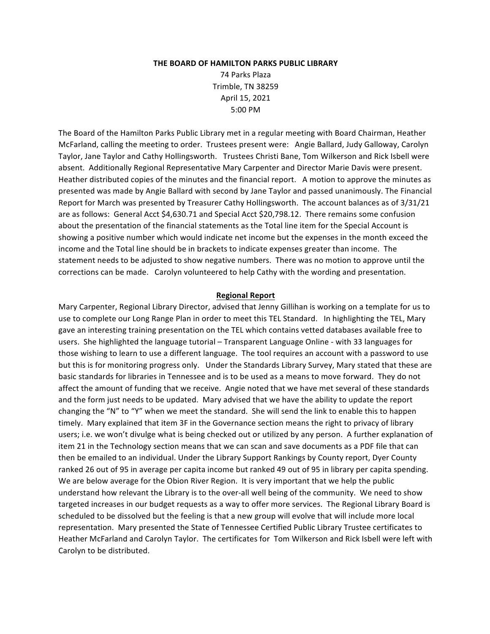#### **THE BOARD OF HAMILTON PARKS PUBLIC LIBRARY**

74 Parks Plaza Trimble, TN 38259 April 15, 2021 5:00 PM

The Board of the Hamilton Parks Public Library met in a regular meeting with Board Chairman, Heather McFarland, calling the meeting to order. Trustees present were: Angie Ballard, Judy Galloway, Carolyn Taylor, Jane Taylor and Cathy Hollingsworth. Trustees Christi Bane, Tom Wilkerson and Rick Isbell were absent. Additionally Regional Representative Mary Carpenter and Director Marie Davis were present. Heather distributed copies of the minutes and the financial report. A motion to approve the minutes as presented was made by Angie Ballard with second by Jane Taylor and passed unanimously. The Financial Report for March was presented by Treasurer Cathy Hollingsworth. The account balances as of 3/31/21 are as follows: General Acct \$4,630.71 and Special Acct \$20,798.12. There remains some confusion about the presentation of the financial statements as the Total line item for the Special Account is showing a positive number which would indicate net income but the expenses in the month exceed the income and the Total line should be in brackets to indicate expenses greater than income. The statement needs to be adjusted to show negative numbers. There was no motion to approve until the corrections can be made. Carolyn volunteered to help Cathy with the wording and presentation.

### **Regional Report**

Mary Carpenter, Regional Library Director, advised that Jenny Gillihan is working on a template for us to use to complete our Long Range Plan in order to meet this TEL Standard. In highlighting the TEL, Mary gave an interesting training presentation on the TEL which contains vetted databases available free to users. She highlighted the language tutorial – Transparent Language Online - with 33 languages for those wishing to learn to use a different language. The tool requires an account with a password to use but this is for monitoring progress only. Under the Standards Library Survey, Mary stated that these are basic standards for libraries in Tennessee and is to be used as a means to move forward. They do not affect the amount of funding that we receive. Angie noted that we have met several of these standards and the form just needs to be updated. Mary advised that we have the ability to update the report changing the "N" to "Y" when we meet the standard. She will send the link to enable this to happen timely. Mary explained that item 3F in the Governance section means the right to privacy of library users; i.e. we won't divulge what is being checked out or utilized by any person. A further explanation of item 21 in the Technology section means that we can scan and save documents as a PDF file that can then be emailed to an individual. Under the Library Support Rankings by County report, Dyer County ranked 26 out of 95 in average per capita income but ranked 49 out of 95 in library per capita spending. We are below average for the Obion River Region. It is very important that we help the public understand how relevant the Library is to the over-all well being of the community. We need to show targeted increases in our budget requests as a way to offer more services. The Regional Library Board is scheduled to be dissolved but the feeling is that a new group will evolve that will include more local representation. Mary presented the State of Tennessee Certified Public Library Trustee certificates to Heather McFarland and Carolyn Taylor. The certificates for Tom Wilkerson and Rick Isbell were left with Carolyn to be distributed.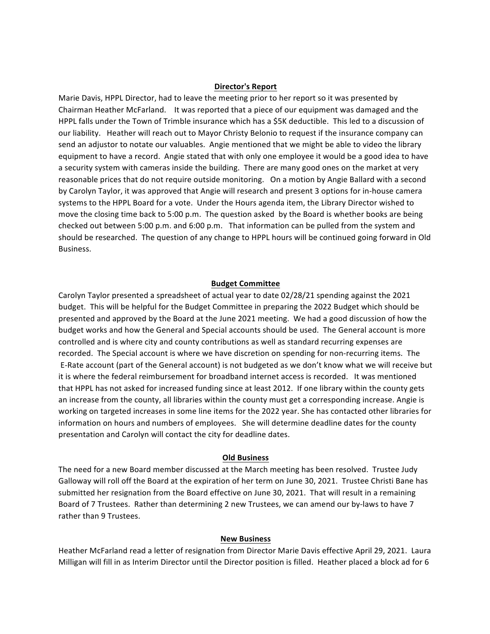## **Director's Report**

Marie Davis, HPPL Director, had to leave the meeting prior to her report so it was presented by Chairman Heather McFarland. It was reported that a piece of our equipment was damaged and the HPPL falls under the Town of Trimble insurance which has a \$5K deductible. This led to a discussion of our liability. Heather will reach out to Mayor Christy Belonio to request if the insurance company can send an adjustor to notate our valuables. Angie mentioned that we might be able to video the library equipment to have a record. Angie stated that with only one employee it would be a good idea to have a security system with cameras inside the building. There are many good ones on the market at very reasonable prices that do not require outside monitoring. On a motion by Angie Ballard with a second by Carolyn Taylor, it was approved that Angie will research and present 3 options for in-house camera systems to the HPPL Board for a vote. Under the Hours agenda item, the Library Director wished to move the closing time back to 5:00 p.m. The question asked by the Board is whether books are being checked out between 5:00 p.m. and 6:00 p.m. That information can be pulled from the system and should be researched. The question of any change to HPPL hours will be continued going forward in Old Business.

## **Budget Committee**

Carolyn Taylor presented a spreadsheet of actual year to date 02/28/21 spending against the 2021 budget. This will be helpful for the Budget Committee in preparing the 2022 Budget which should be presented and approved by the Board at the June 2021 meeting. We had a good discussion of how the budget works and how the General and Special accounts should be used. The General account is more controlled and is where city and county contributions as well as standard recurring expenses are recorded. The Special account is where we have discretion on spending for non-recurring items. The E-Rate account (part of the General account) is not budgeted as we don't know what we will receive but it is where the federal reimbursement for broadband internet access is recorded. It was mentioned that HPPL has not asked for increased funding since at least 2012. If one library within the county gets an increase from the county, all libraries within the county must get a corresponding increase. Angie is working on targeted increases in some line items for the 2022 year. She has contacted other libraries for information on hours and numbers of employees. She will determine deadline dates for the county presentation and Carolyn will contact the city for deadline dates.

### **Old Business**

The need for a new Board member discussed at the March meeting has been resolved. Trustee Judy Galloway will roll off the Board at the expiration of her term on June 30, 2021. Trustee Christi Bane has submitted her resignation from the Board effective on June 30, 2021. That will result in a remaining Board of 7 Trustees. Rather than determining 2 new Trustees, we can amend our by-laws to have 7 rather than 9 Trustees.

#### **New Business**

Heather McFarland read a letter of resignation from Director Marie Davis effective April 29, 2021. Laura Milligan will fill in as Interim Director until the Director position is filled. Heather placed a block ad for 6